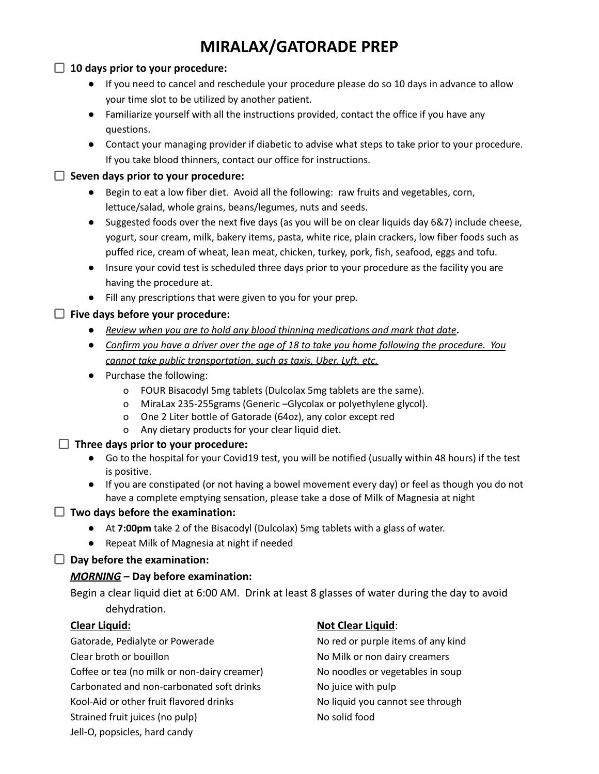# **MIRALAX/GATORADE PREP**

#### **10 days prior to your procedure:**

- If you need to cancel and reschedule your procedure please do so 10 days in advance to allow your time slot to be utilized by another patient.
- Familiarize yourself with all the instructions provided, contact the office if you have any questions.
- Contact your managing provider if diabetic to advise what steps to take prior to your procedure. If you take blood thinners, contact our office for instructions.

#### **Seven days prior to your procedure:**

- Begin to eat a low fiber diet. Avoid all the following: raw fruits and vegetables, corn, lettuce/salad, whole grains, beans/legumes, nuts and seeds.
- Suggested foods over the next five days (as you will be on clear liquids day 6&7) include cheese, yogurt, sour cream, milk, bakery items, pasta, white rice, plain crackers, low fiber foods such as puffed rice, cream of wheat, lean meat, chicken, turkey, pork, fish, seafood, eggs and tofu.
- Insure your covid test is scheduled three days prior to your procedure as the facility you are having the procedure at.
- Fill any prescriptions that were given to you for your prep.

#### **Five days before your procedure:**

- **●** *Review when you are to hold any blood thinning medications and mark that date***.**
- Confirm you have a driver over the age of 18 to take you home following the procedure. You *cannot take public transportation, such as taxis, Uber, Lyft, etc.*
- Purchase the following:
	- o FOUR Bisacodyl 5mg tablets (Dulcolax 5mg tablets are the same).
	- o MiraLax 235-255grams (Generic –Glycolax or polyethylene glycol).
	- o One 2 Liter bottle of Gatorade (64oz), any color except red
	- o Any dietary products for your clear liquid diet.

#### **Three days prior to your procedure:**

- Go to the hospital for your Covid19 test, you will be notified (usually within 48 hours) if the test is positive.
- If you are constipated (or not having a bowel movement every day) or feel as though you do not have a complete emptying sensation, please take a dose of Milk of Magnesia at night

#### **Two days before the examination:**

- At **7:00pm** take 2 of the Bisacodyl (Dulcolax) 5mg tablets with a glass of water.
- Repeat Milk of Magnesia at night if needed

#### **Day before the examination:**

#### *MORNING* **– Day before examination:**

Begin a clear liquid diet at 6:00 AM. Drink at least 8 glasses of water during the day to avoid dehydration.

Gatorade, Pedialyte or Powerade No red or purple items of any kind Clear broth or bouillon No Milk or non dairy creamers Coffee or tea (no milk or non-dairy creamer) No noodles or vegetables in soup Carbonated and non-carbonated soft drinks No juice with pulp Kool-Aid or other fruit flavored drinks No liquid you cannot see through Strained fruit juices (no pulp) No solid food

#### **Clear Liquid: Not Clear Liquid**:

Jell-O, popsicles, hard candy